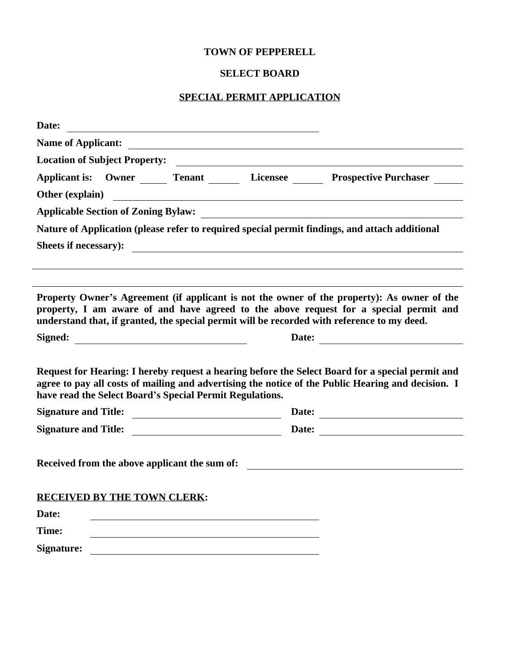#### **TOWN OF PEPPERELL**

#### **SELECT BOARD**

#### **SPECIAL PERMIT APPLICATION**

| Date:<br>and the control of the control of the control of the control of the control of the control of the control of the |                                                                                                                                                                                                                 |
|---------------------------------------------------------------------------------------------------------------------------|-----------------------------------------------------------------------------------------------------------------------------------------------------------------------------------------------------------------|
| <b>Name of Applicant:</b>                                                                                                 |                                                                                                                                                                                                                 |
|                                                                                                                           | Location of Subject Property:                                                                                                                                                                                   |
|                                                                                                                           | Applicant is: Owner Tenant Licensee Prospective Purchaser                                                                                                                                                       |
| <b>Other (explain)</b>                                                                                                    |                                                                                                                                                                                                                 |
|                                                                                                                           |                                                                                                                                                                                                                 |
|                                                                                                                           | Nature of Application (please refer to required special permit findings, and attach additional                                                                                                                  |
| Sheets if necessary):                                                                                                     | <u> 1989 - Johann Harry Harry Harry Harry Harry Harry Harry Harry Harry Harry Harry Harry Harry Harry Harry Harry</u>                                                                                           |
| property, I am aware of and have agreed to the above request for a special permit and                                     | Property Owner's Agreement (if applicant is not the owner of the property): As owner of the                                                                                                                     |
|                                                                                                                           | understand that, if granted, the special permit will be recorded with reference to my deed.                                                                                                                     |
| Signed:<br><u> 1980 - Johann Barbara, martxa amerikan personal (</u>                                                      |                                                                                                                                                                                                                 |
|                                                                                                                           |                                                                                                                                                                                                                 |
| have read the Select Board's Special Permit Regulations.                                                                  | Date:<br>Request for Hearing: I hereby request a hearing before the Select Board for a special permit and<br>agree to pay all costs of mailing and advertising the notice of the Public Hearing and decision. I |
|                                                                                                                           |                                                                                                                                                                                                                 |
|                                                                                                                           |                                                                                                                                                                                                                 |
|                                                                                                                           |                                                                                                                                                                                                                 |
| <b>RECEIVED BY THE TOWN CLERK:</b>                                                                                        |                                                                                                                                                                                                                 |
| Date:<br>Time:                                                                                                            |                                                                                                                                                                                                                 |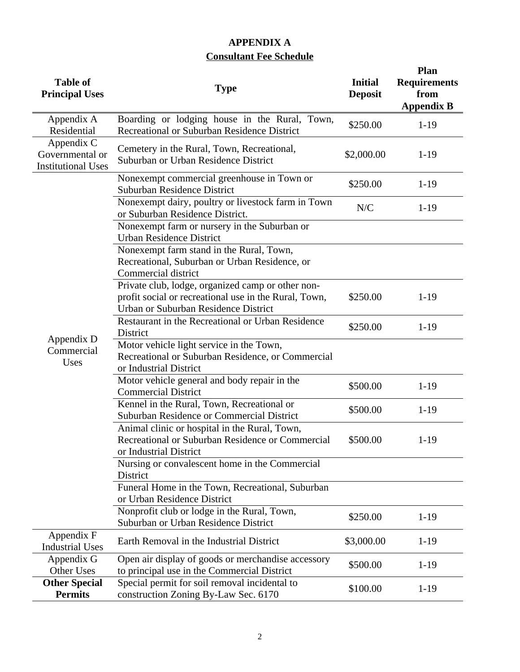### **APPENDIX A Consultant Fee Schedule**

| <b>Table of</b><br><b>Principal Uses</b>                   | <b>Type</b>                                                                                                                                        | <b>Initial</b><br><b>Deposit</b> | <b>Plan</b><br><b>Requirements</b><br>from<br><b>Appendix B</b> |
|------------------------------------------------------------|----------------------------------------------------------------------------------------------------------------------------------------------------|----------------------------------|-----------------------------------------------------------------|
| Appendix A<br>Residential                                  | Boarding or lodging house in the Rural, Town,<br>Recreational or Suburban Residence District                                                       | \$250.00                         | $1-19$                                                          |
| Appendix C<br>Governmental or<br><b>Institutional Uses</b> | Cemetery in the Rural, Town, Recreational,<br>Suburban or Urban Residence District                                                                 | \$2,000.00                       | $1-19$                                                          |
|                                                            | Nonexempt commercial greenhouse in Town or<br><b>Suburban Residence District</b>                                                                   | \$250.00                         | $1-19$                                                          |
|                                                            | Nonexempt dairy, poultry or livestock farm in Town<br>or Suburban Residence District.                                                              | N/C                              | $1-19$                                                          |
|                                                            | Nonexempt farm or nursery in the Suburban or<br><b>Urban Residence District</b>                                                                    |                                  |                                                                 |
|                                                            | Nonexempt farm stand in the Rural, Town,<br>Recreational, Suburban or Urban Residence, or<br>Commercial district                                   |                                  |                                                                 |
|                                                            | Private club, lodge, organized camp or other non-<br>profit social or recreational use in the Rural, Town,<br>Urban or Suburban Residence District | \$250.00                         | $1-19$                                                          |
|                                                            | Restaurant in the Recreational or Urban Residence<br>District                                                                                      | \$250.00                         | $1-19$                                                          |
| Appendix D<br>Commercial<br>Uses                           | Motor vehicle light service in the Town,<br>Recreational or Suburban Residence, or Commercial<br>or Industrial District                            |                                  |                                                                 |
|                                                            | Motor vehicle general and body repair in the<br><b>Commercial District</b>                                                                         | \$500.00                         | $1-19$                                                          |
|                                                            | Kennel in the Rural, Town, Recreational or<br>Suburban Residence or Commercial District                                                            | \$500.00                         | $1 - 19$                                                        |
|                                                            | Animal clinic or hospital in the Rural, Town,<br>Recreational or Suburban Residence or Commercial<br>or Industrial District                        | \$500.00                         | $1-19$                                                          |
|                                                            | Nursing or convalescent home in the Commercial<br>District                                                                                         |                                  |                                                                 |
|                                                            | Funeral Home in the Town, Recreational, Suburban<br>or Urban Residence District                                                                    |                                  |                                                                 |
|                                                            | Nonprofit club or lodge in the Rural, Town,<br>Suburban or Urban Residence District                                                                | \$250.00                         | $1-19$                                                          |
| Appendix F<br><b>Industrial Uses</b>                       | Earth Removal in the Industrial District                                                                                                           | \$3,000.00                       | $1-19$                                                          |
| Appendix G<br>Other Uses                                   | Open air display of goods or merchandise accessory<br>to principal use in the Commercial District                                                  | \$500.00                         | $1-19$                                                          |
| <b>Other Special</b><br><b>Permits</b>                     | Special permit for soil removal incidental to<br>construction Zoning By-Law Sec. 6170                                                              | \$100.00                         | $1-19$                                                          |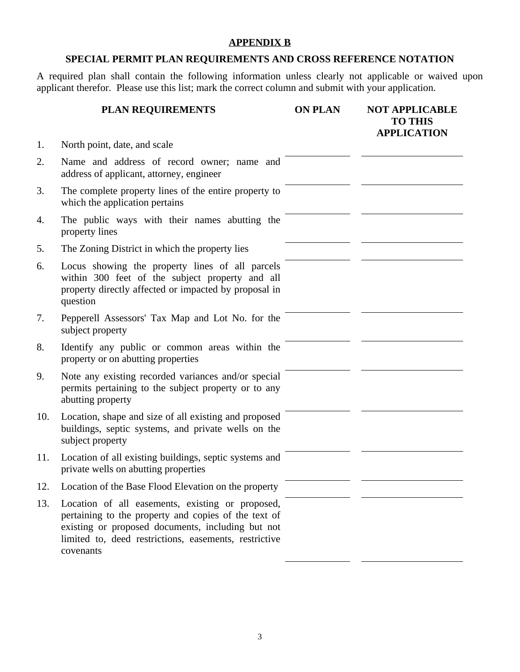### **APPENDIX B**

#### **SPECIAL PERMIT PLAN REQUIREMENTS AND CROSS REFERENCE NOTATION**

A required plan shall contain the following information unless clearly not applicable or waived upon applicant therefor. Please use this list; mark the correct column and submit with your application.

|     | <b>PLAN REQUIREMENTS</b>                                                                                                                                                                                                            | <b>ON PLAN</b> | <b>NOT APPLICABLE</b><br><b>TO THIS</b><br><b>APPLICATION</b> |
|-----|-------------------------------------------------------------------------------------------------------------------------------------------------------------------------------------------------------------------------------------|----------------|---------------------------------------------------------------|
| 1.  | North point, date, and scale                                                                                                                                                                                                        |                |                                                               |
| 2.  | Name and address of record owner; name and<br>address of applicant, attorney, engineer                                                                                                                                              |                |                                                               |
| 3.  | The complete property lines of the entire property to<br>which the application pertains                                                                                                                                             |                |                                                               |
| 4.  | The public ways with their names abutting the<br>property lines                                                                                                                                                                     |                |                                                               |
| 5.  | The Zoning District in which the property lies                                                                                                                                                                                      |                |                                                               |
| 6.  | Locus showing the property lines of all parcels<br>within 300 feet of the subject property and all<br>property directly affected or impacted by proposal in<br>question                                                             |                |                                                               |
| 7.  | Pepperell Assessors' Tax Map and Lot No. for the<br>subject property                                                                                                                                                                |                |                                                               |
| 8.  | Identify any public or common areas within the<br>property or on abutting properties                                                                                                                                                |                |                                                               |
| 9.  | Note any existing recorded variances and/or special<br>permits pertaining to the subject property or to any<br>abutting property                                                                                                    |                |                                                               |
| 10. | Location, shape and size of all existing and proposed<br>buildings, septic systems, and private wells on the<br>subject property                                                                                                    |                |                                                               |
| 11. | Location of all existing buildings, septic systems and<br>private wells on abutting properties                                                                                                                                      |                |                                                               |
| 12. | Location of the Base Flood Elevation on the property                                                                                                                                                                                |                |                                                               |
| 13. | Location of all easements, existing or proposed,<br>pertaining to the property and copies of the text of<br>existing or proposed documents, including but not<br>limited to, deed restrictions, easements, restrictive<br>covenants |                |                                                               |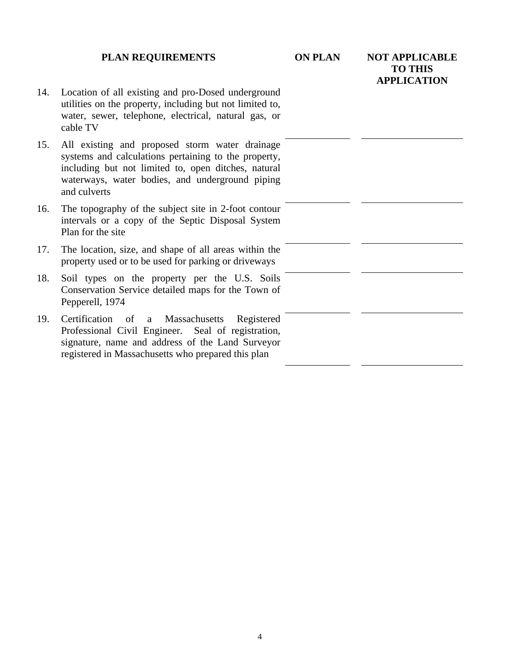#### **PLAN REQUIREMENTS ON PLAN NOT APPLICABLE**

# **TO THIS APPLICATION**

- 14. Location of all existing and pro-Dosed underground utilities on the property, including but not limited to, water, sewer, telephone, electrical, natural gas, or cable TV
- 15. All existing and proposed storm water drainage systems and calculations pertaining to the property, including but not limited to, open ditches, natural waterways, water bodies, and underground piping and culverts
- 16. The topography of the subject site in 2-foot contour intervals or a copy of the Septic Disposal System Plan for the site
- 17. The location, size, and shape of all areas within the property used or to be used for parking or driveways
- 18. Soil types on the property per the U.S. Soils Conservation Service detailed maps for the Town of Pepperell, 1974
- 19. Certification of a Massachusetts Registered Professional Civil Engineer. Seal of registration, signature, name and address of the Land Surveyor registered in Massachusetts who prepared this plan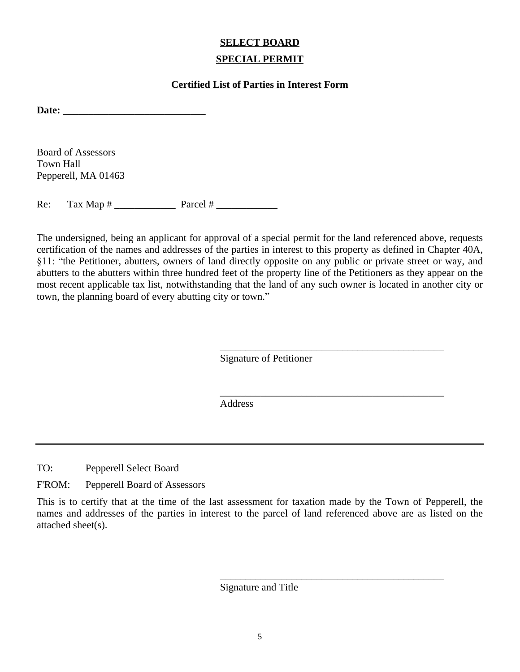## **SELECT BOARD SPECIAL PERMIT**

#### **Certified List of Parties in Interest Form**

Date: <u>\_\_\_\_\_\_\_\_\_\_\_\_\_\_\_\_\_\_\_\_\_\_\_\_\_\_\_\_\_\_\_\_\_\_</u>

Board of Assessors Town Hall Pepperell, MA 01463

 $Re:$  Tax Map  $#$  Parcel  $#$ 

The undersigned, being an applicant for approval of a special permit for the land referenced above, requests certification of the names and addresses of the parties in interest to this property as defined in Chapter 40A, §11: "the Petitioner, abutters, owners of land directly opposite on any public or private street or way, and abutters to the abutters within three hundred feet of the property line of the Petitioners as they appear on the most recent applicable tax list, notwithstanding that the land of any such owner is located in another city or town, the planning board of every abutting city or town."

Signature of Petitioner

\_\_\_\_\_\_\_\_\_\_\_\_\_\_\_\_\_\_\_\_\_\_\_\_\_\_\_\_\_\_\_\_\_\_\_\_\_\_\_\_\_\_\_\_

\_\_\_\_\_\_\_\_\_\_\_\_\_\_\_\_\_\_\_\_\_\_\_\_\_\_\_\_\_\_\_\_\_\_\_\_\_\_\_\_\_\_\_\_

\_\_\_\_\_\_\_\_\_\_\_\_\_\_\_\_\_\_\_\_\_\_\_\_\_\_\_\_\_\_\_\_\_\_\_\_\_\_\_\_\_\_\_\_

Address

TO: Pepperell Select Board

F'ROM: Pepperell Board of Assessors

This is to certify that at the time of the last assessment for taxation made by the Town of Pepperell, the names and addresses of the parties in interest to the parcel of land referenced above are as listed on the attached sheet(s).

Signature and Title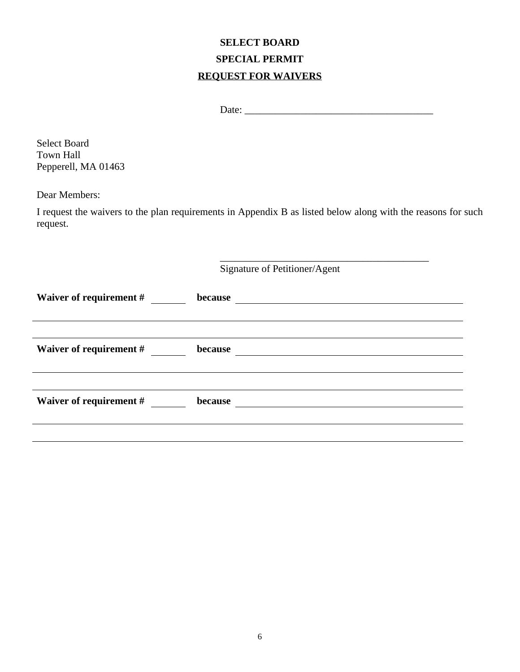# **SELECT BOARD SPECIAL PERMIT REQUEST FOR WAIVERS**

\_\_\_\_\_\_\_\_\_\_\_\_\_\_\_\_\_\_\_\_\_\_\_\_\_\_\_\_\_\_\_\_\_\_\_\_\_\_\_\_\_

Select Board Town Hall Pepperell, MA 01463

Dear Members:

I request the waivers to the plan requirements in Appendix B as listed below along with the reasons for such request.

| Signature of Petitioner/Agent |         |  |  |
|-------------------------------|---------|--|--|
| Waiver of requirement #       | because |  |  |
| Waiver of requirement #       | because |  |  |
| Waiver of requirement #       | because |  |  |
|                               |         |  |  |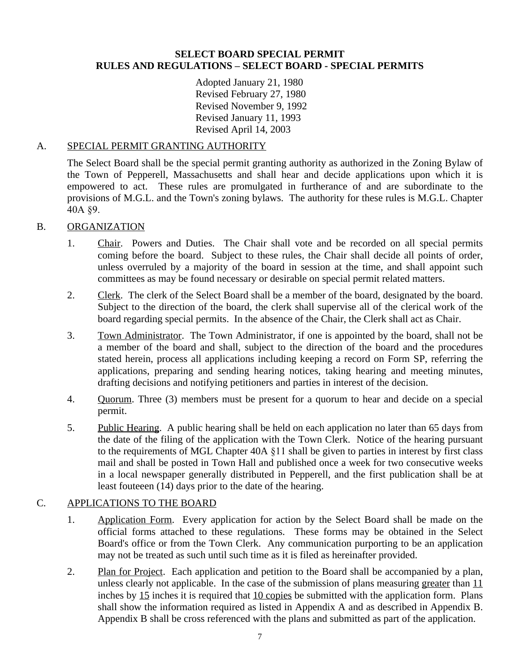#### **SELECT BOARD SPECIAL PERMIT RULES AND REGULATIONS – SELECT BOARD - SPECIAL PERMITS**

Adopted January 21, 1980 Revised February 27, 1980 Revised November 9, 1992 Revised January 11, 1993 Revised April 14, 2003

#### A. SPECIAL PERMIT GRANTING AUTHORITY

The Select Board shall be the special permit granting authority as authorized in the Zoning Bylaw of the Town of Pepperell, Massachusetts and shall hear and decide applications upon which it is empowered to act. These rules are promulgated in furtherance of and are subordinate to the provisions of M.G.L. and the Town's zoning bylaws. The authority for these rules is M.G.L. Chapter 40A §9.

#### B. ORGANIZATION

- 1. Chair. Powers and Duties. The Chair shall vote and be recorded on all special permits coming before the board. Subject to these rules, the Chair shall decide all points of order, unless overruled by a majority of the board in session at the time, and shall appoint such committees as may be found necessary or desirable on special permit related matters.
- 2. Clerk. The clerk of the Select Board shall be a member of the board, designated by the board. Subject to the direction of the board, the clerk shall supervise all of the clerical work of the board regarding special permits. In the absence of the Chair, the Clerk shall act as Chair.
- 3. Town Administrator. The Town Administrator, if one is appointed by the board, shall not be a member of the board and shall, subject to the direction of the board and the procedures stated herein, process all applications including keeping a record on Form SP, referring the applications, preparing and sending hearing notices, taking hearing and meeting minutes, drafting decisions and notifying petitioners and parties in interest of the decision.
- 4. Quorum. Three (3) members must be present for a quorum to hear and decide on a special permit.
- 5. Public Hearing. A public hearing shall be held on each application no later than 65 days from the date of the filing of the application with the Town Clerk. Notice of the hearing pursuant to the requirements of MGL Chapter 40A §11 shall be given to parties in interest by first class mail and shall be posted in Town Hall and published once a week for two consecutive weeks in a local newspaper generally distributed in Pepperell, and the first publication shall be at least fouteeen (14) days prior to the date of the hearing.

#### C. APPLICATIONS TO THE BOARD

- 1. Application Form. Every application for action by the Select Board shall be made on the official forms attached to these regulations. These forms may be obtained in the Select Board's office or from the Town Clerk. Any communication purporting to be an application may not be treated as such until such time as it is filed as hereinafter provided.
- 2. Plan for Project. Each application and petition to the Board shall be accompanied by a plan, unless clearly not applicable. In the case of the submission of plans measuring greater than  $11$ inches by 15 inches it is required that 10 copies be submitted with the application form. Plans shall show the information required as listed in Appendix A and as described in Appendix B. Appendix B shall be cross referenced with the plans and submitted as part of the application.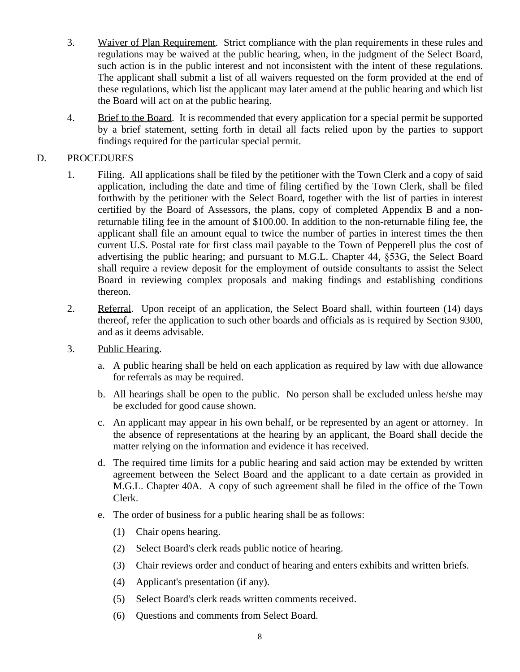- 3. Waiver of Plan Requirement. Strict compliance with the plan requirements in these rules and regulations may be waived at the public hearing, when, in the judgment of the Select Board, such action is in the public interest and not inconsistent with the intent of these regulations. The applicant shall submit a list of all waivers requested on the form provided at the end of these regulations, which list the applicant may later amend at the public hearing and which list the Board will act on at the public hearing.
- 4. Brief to the Board. It is recommended that every application for a special permit be supported by a brief statement, setting forth in detail all facts relied upon by the parties to support findings required for the particular special permit.

#### D. PROCEDURES

- 1. Filing. All applications shall be filed by the petitioner with the Town Clerk and a copy of said application, including the date and time of filing certified by the Town Clerk, shall be filed forthwith by the petitioner with the Select Board, together with the list of parties in interest certified by the Board of Assessors, the plans, copy of completed Appendix B and a nonreturnable filing fee in the amount of \$100.00. In addition to the non-returnable filing fee, the applicant shall file an amount equal to twice the number of parties in interest times the then current U.S. Postal rate for first class mail payable to the Town of Pepperell plus the cost of advertising the public hearing; and pursuant to M.G.L. Chapter 44, §53G, the Select Board shall require a review deposit for the employment of outside consultants to assist the Select Board in reviewing complex proposals and making findings and establishing conditions thereon.
- 2. Referral. Upon receipt of an application, the Select Board shall, within fourteen (14) days thereof, refer the application to such other boards and officials as is required by Section 9300, and as it deems advisable.
- 3. Public Hearing.
	- a. A public hearing shall be held on each application as required by law with due allowance for referrals as may be required.
	- b. All hearings shall be open to the public. No person shall be excluded unless he/she may be excluded for good cause shown.
	- c. An applicant may appear in his own behalf, or be represented by an agent or attorney. In the absence of representations at the hearing by an applicant, the Board shall decide the matter relying on the information and evidence it has received.
	- d. The required time limits for a public hearing and said action may be extended by written agreement between the Select Board and the applicant to a date certain as provided in M.G.L. Chapter 40A. A copy of such agreement shall be filed in the office of the Town Clerk.
	- e. The order of business for a public hearing shall be as follows:
		- (1) Chair opens hearing.
		- (2) Select Board's clerk reads public notice of hearing.
		- (3) Chair reviews order and conduct of hearing and enters exhibits and written briefs.
		- (4) Applicant's presentation (if any).
		- (5) Select Board's clerk reads written comments received.
		- (6) Questions and comments from Select Board.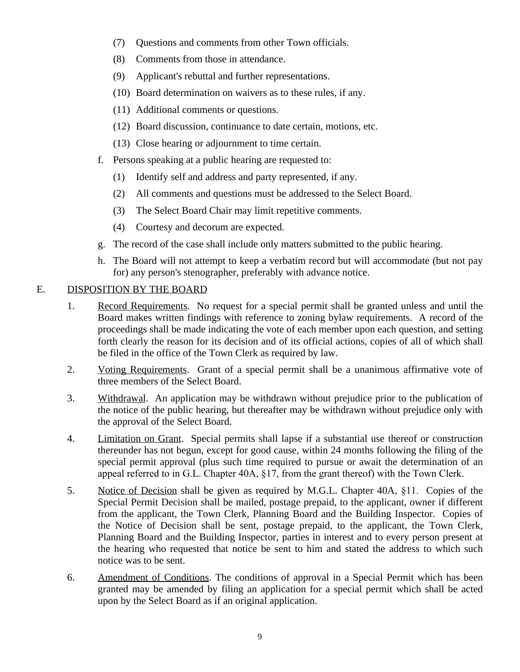- (7) Questions and comments from other Town officials.
- (8) Comments from those in attendance.
- (9) Applicant's rebuttal and further representations.
- (10) Board determination on waivers as to these rules, if any.
- (11) Additional comments or questions.
- (12) Board discussion, continuance to date certain, motions, etc.
- (13) Close hearing or adjournment to time certain.
- f. Persons speaking at a public hearing are requested to:
	- (1) Identify self and address and party represented, if any.
	- (2) All comments and questions must be addressed to the Select Board.
	- (3) The Select Board Chair may limit repetitive comments.
	- (4) Courtesy and decorum are expected.
- g. The record of the case shall include only matters submitted to the public hearing.
- h. The Board will not attempt to keep a verbatim record but will accommodate (but not pay for) any person's stenographer, preferably with advance notice.

#### E. DISPOSITION BY THE BOARD

- 1. Record Requirements. No request for a special permit shall be granted unless and until the Board makes written findings with reference to zoning bylaw requirements. A record of the proceedings shall be made indicating the vote of each member upon each question, and setting forth clearly the reason for its decision and of its official actions, copies of all of which shall be filed in the office of the Town Clerk as required by law.
- 2. Voting Requirements. Grant of a special permit shall be a unanimous affirmative vote of three members of the Select Board.
- 3. Withdrawal. An application may be withdrawn without prejudice prior to the publication of the notice of the public hearing, but thereafter may be withdrawn without prejudice only with the approval of the Select Board.
- 4. Limitation on Grant. Special permits shall lapse if a substantial use thereof or construction thereunder has not begun, except for good cause, within 24 months following the filing of the special permit approval (plus such time required to pursue or await the determination of an appeal referred to in G.L. Chapter 40A, §17, from the grant thereof) with the Town Clerk.
- 5. Notice of Decision shall be given as required by M.G.L. Chapter 40A, §11. Copies of the Special Permit Decision shall be mailed, postage prepaid, to the applicant, owner if different from the applicant, the Town Clerk, Planning Board and the Building Inspector. Copies of the Notice of Decision shall be sent, postage prepaid, to the applicant, the Town Clerk, Planning Board and the Building Inspector, parties in interest and to every person present at the hearing who requested that notice be sent to him and stated the address to which such notice was to be sent.
- 6. Amendment of Conditions. The conditions of approval in a Special Permit which has been granted may be amended by filing an application for a special permit which shall be acted upon by the Select Board as if an original application.